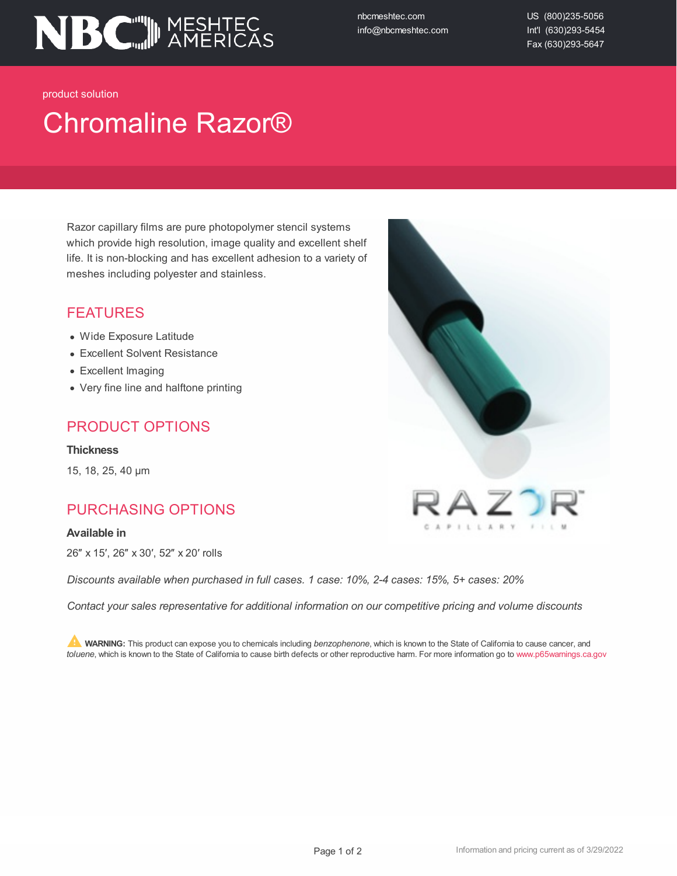

nbcmeshtec.com info@nbcmeshtec.com US (800)235-5056 Int'l (630)293-5454 Fax (630)293-5647

product solution

# Chromaline Razor®

Razor capillary films are pure photopolymer stencil systems which provide high resolution, image quality and excellent shelf life. It is non-blocking and has excellent adhesion to a variety of meshes including polyester and stainless.

#### FEATURES

- Wide Exposure Latitude
- Excellent Solvent Resistance
- Excellent Imaging
- Very fine line and halftone printing

#### PRODUCT OPTIONS

**Thickness**

15, 18, 25, 40 µm

### PURCHASING OPTIONS

#### **Available in**

26″ x 15′, 26″ x 30′, 52″ x 20′ rolls

*Discounts available when purchased in full cases. 1 case: 10%, 2-4 cases: 15%, 5+ cases: 20%*

*Contact your sales representative for additional information on our competitive pricing and volume discounts*

**WARNING:** This product can expose you to chemicals including *benzophenone*, which is known to the State of California to cause cancer, and *toluene*, which is known to the State of California to cause birth defects or other reproductive harm. For more information go to www.p65warnings.ca.gov